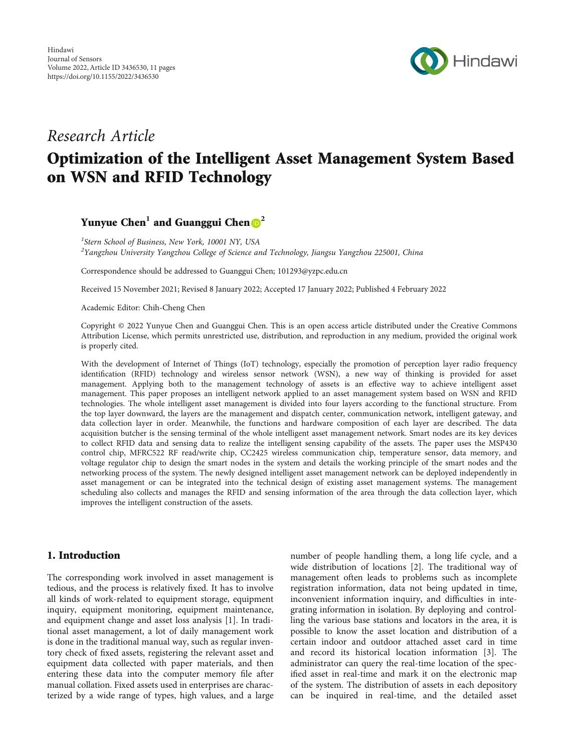

# Research Article Optimization of the Intelligent Asset Management System Based on WSN and RFID Technology

Yunyue Chen<sup>1</sup> and Guanggui Chen **D**<sup>2</sup>

<sup>1</sup>Stern School of Business, New York, 10001 NY, USA  $^2$ Yangzhou University Yangzhou College of Science and Technology, Jiangsu Yangzhou 225001, China

Correspondence should be addressed to Guanggui Chen; 101293@yzpc.edu.cn

Received 15 November 2021; Revised 8 January 2022; Accepted 17 January 2022; Published 4 February 2022

Academic Editor: Chih-Cheng Chen

Copyright © 2022 Yunyue Chen and Guanggui Chen. This is an open access article distributed under the [Creative Commons](https://creativecommons.org/licenses/by/4.0/) [Attribution License](https://creativecommons.org/licenses/by/4.0/), which permits unrestricted use, distribution, and reproduction in any medium, provided the original work is properly cited.

With the development of Internet of Things (IoT) technology, especially the promotion of perception layer radio frequency identification (RFID) technology and wireless sensor network (WSN), a new way of thinking is provided for asset management. Applying both to the management technology of assets is an effective way to achieve intelligent asset management. This paper proposes an intelligent network applied to an asset management system based on WSN and RFID technologies. The whole intelligent asset management is divided into four layers according to the functional structure. From the top layer downward, the layers are the management and dispatch center, communication network, intelligent gateway, and data collection layer in order. Meanwhile, the functions and hardware composition of each layer are described. The data acquisition butcher is the sensing terminal of the whole intelligent asset management network. Smart nodes are its key devices to collect RFID data and sensing data to realize the intelligent sensing capability of the assets. The paper uses the MSP430 control chip, MFRC522 RF read/write chip, CC2425 wireless communication chip, temperature sensor, data memory, and voltage regulator chip to design the smart nodes in the system and details the working principle of the smart nodes and the networking process of the system. The newly designed intelligent asset management network can be deployed independently in asset management or can be integrated into the technical design of existing asset management systems. The management scheduling also collects and manages the RFID and sensing information of the area through the data collection layer, which improves the intelligent construction of the assets.

## 1. Introduction

The corresponding work involved in asset management is tedious, and the process is relatively fixed. It has to involve all kinds of work-related to equipment storage, equipment inquiry, equipment monitoring, equipment maintenance, and equipment change and asset loss analysis [[1\]](#page-10-0). In traditional asset management, a lot of daily management work is done in the traditional manual way, such as regular inventory check of fixed assets, registering the relevant asset and equipment data collected with paper materials, and then entering these data into the computer memory file after manual collation. Fixed assets used in enterprises are characterized by a wide range of types, high values, and a large

number of people handling them, a long life cycle, and a wide distribution of locations [\[2\]](#page-10-0). The traditional way of management often leads to problems such as incomplete registration information, data not being updated in time, inconvenient information inquiry, and difficulties in integrating information in isolation. By deploying and controlling the various base stations and locators in the area, it is possible to know the asset location and distribution of a certain indoor and outdoor attached asset card in time and record its historical location information [[3](#page-10-0)]. The administrator can query the real-time location of the specified asset in real-time and mark it on the electronic map of the system. The distribution of assets in each depository can be inquired in real-time, and the detailed asset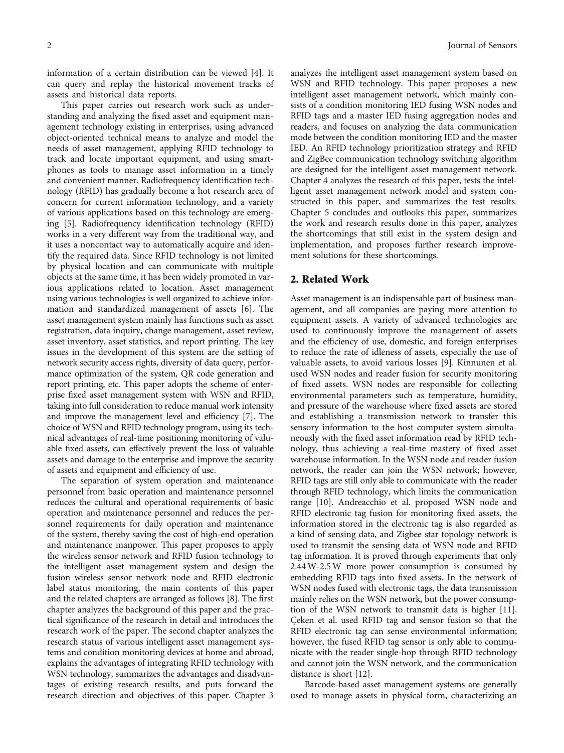information of a certain distribution can be viewed [\[4](#page-10-0)]. It can query and replay the historical movement tracks of assets and historical data reports.

This paper carries out research work such as understanding and analyzing the fixed asset and equipment management technology existing in enterprises, using advanced object-oriented technical means to analyze and model the needs of asset management, applying RFID technology to track and locate important equipment, and using smartphones as tools to manage asset information in a timely and convenient manner. Radiofrequency identification technology (RFID) has gradually become a hot research area of concern for current information technology, and a variety of various applications based on this technology are emerging [\[5](#page-10-0)]. Radiofrequency identification technology (RFID) works in a very different way from the traditional way, and it uses a noncontact way to automatically acquire and identify the required data. Since RFID technology is not limited by physical location and can communicate with multiple objects at the same time, it has been widely promoted in various applications related to location. Asset management using various technologies is well organized to achieve information and standardized management of assets [\[6\]](#page-10-0). The asset management system mainly has functions such as asset registration, data inquiry, change management, asset review, asset inventory, asset statistics, and report printing. The key issues in the development of this system are the setting of network security access rights, diversity of data query, performance optimization of the system, QR code generation and report printing, etc. This paper adopts the scheme of enterprise fixed asset management system with WSN and RFID, taking into full consideration to reduce manual work intensity and improve the management level and efficiency [\[7](#page-10-0)]. The choice of WSN and RFID technology program, using its technical advantages of real-time positioning monitoring of valuable fixed assets, can effectively prevent the loss of valuable assets and damage to the enterprise and improve the security of assets and equipment and efficiency of use.

The separation of system operation and maintenance personnel from basic operation and maintenance personnel reduces the cultural and operational requirements of basic operation and maintenance personnel and reduces the personnel requirements for daily operation and maintenance of the system, thereby saving the cost of high-end operation and maintenance manpower. This paper proposes to apply the wireless sensor network and RFID fusion technology to the intelligent asset management system and design the fusion wireless sensor network node and RFID electronic label status monitoring, the main contents of this paper and the related chapters are arranged as follows [[8](#page-10-0)]. The first chapter analyzes the background of this paper and the practical significance of the research in detail and introduces the research work of the paper. The second chapter analyzes the research status of various intelligent asset management systems and condition monitoring devices at home and abroad, explains the advantages of integrating RFID technology with WSN technology, summarizes the advantages and disadvantages of existing research results, and puts forward the research direction and objectives of this paper. Chapter 3 analyzes the intelligent asset management system based on WSN and RFID technology. This paper proposes a new intelligent asset management network, which mainly consists of a condition monitoring IED fusing WSN nodes and RFID tags and a master IED fusing aggregation nodes and readers, and focuses on analyzing the data communication mode between the condition monitoring IED and the master IED. An RFID technology prioritization strategy and RFID and ZigBee communication technology switching algorithm are designed for the intelligent asset management network. Chapter 4 analyzes the research of this paper, tests the intelligent asset management network model and system constructed in this paper, and summarizes the test results. Chapter 5 concludes and outlooks this paper, summarizes the work and research results done in this paper, analyzes the shortcomings that still exist in the system design and implementation, and proposes further research improvement solutions for these shortcomings.

#### 2. Related Work

Asset management is an indispensable part of business management, and all companies are paying more attention to equipment assets. A variety of advanced technologies are used to continuously improve the management of assets and the efficiency of use, domestic, and foreign enterprises to reduce the rate of idleness of assets, especially the use of valuable assets, to avoid various losses [\[9](#page-10-0)]. Kinnunen et al. used WSN nodes and reader fusion for security monitoring of fixed assets. WSN nodes are responsible for collecting environmental parameters such as temperature, humidity, and pressure of the warehouse where fixed assets are stored and establishing a transmission network to transfer this sensory information to the host computer system simultaneously with the fixed asset information read by RFID technology, thus achieving a real-time mastery of fixed asset warehouse information. In the WSN node and reader fusion network, the reader can join the WSN network; however, RFID tags are still only able to communicate with the reader through RFID technology, which limits the communication range [[10](#page-10-0)]. Andreacchio et al. proposed WSN node and RFID electronic tag fusion for monitoring fixed assets, the information stored in the electronic tag is also regarded as a kind of sensing data, and Zigbee star topology network is used to transmit the sensing data of WSN node and RFID tag information. It is proved through experiments that only 2.44W-2.5W more power consumption is consumed by embedding RFID tags into fixed assets. In the network of WSN nodes fused with electronic tags, the data transmission mainly relies on the WSN network, but the power consumption of the WSN network to transmit data is higher [[11](#page-10-0)]. Çeken et al. used RFID tag and sensor fusion so that the RFID electronic tag can sense environmental information; however, the fused RFID tag sensor is only able to communicate with the reader single-hop through RFID technology and cannot join the WSN network, and the communication distance is short [[12\]](#page-10-0).

Barcode-based asset management systems are generally used to manage assets in physical form, characterizing an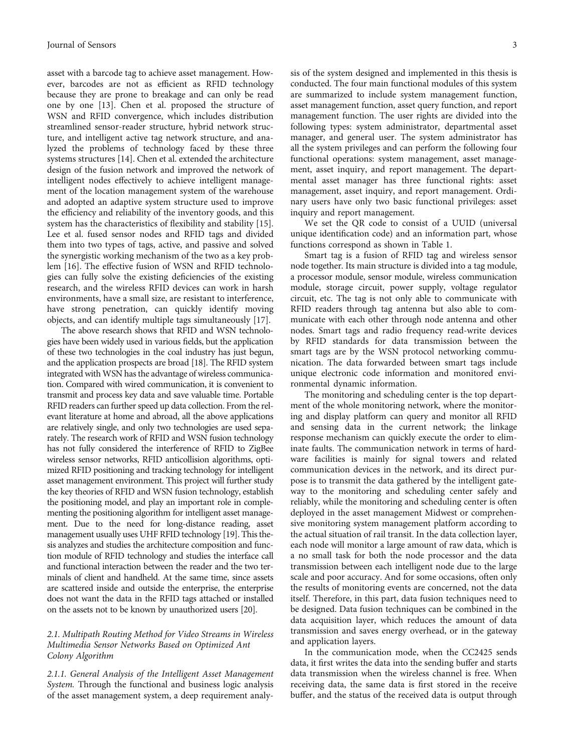asset with a barcode tag to achieve asset management. However, barcodes are not as efficient as RFID technology because they are prone to breakage and can only be read one by one [[13\]](#page-10-0). Chen et al. proposed the structure of WSN and RFID convergence, which includes distribution streamlined sensor-reader structure, hybrid network structure, and intelligent active tag network structure, and analyzed the problems of technology faced by these three systems structures [\[14\]](#page-10-0). Chen et al. extended the architecture design of the fusion network and improved the network of intelligent nodes effectively to achieve intelligent management of the location management system of the warehouse and adopted an adaptive system structure used to improve the efficiency and reliability of the inventory goods, and this system has the characteristics of flexibility and stability [[15](#page-10-0)]. Lee et al. fused sensor nodes and RFID tags and divided them into two types of tags, active, and passive and solved the synergistic working mechanism of the two as a key problem [[16](#page-10-0)]. The effective fusion of WSN and RFID technologies can fully solve the existing deficiencies of the existing research, and the wireless RFID devices can work in harsh environments, have a small size, are resistant to interference, have strong penetration, can quickly identify moving objects, and can identify multiple tags simultaneously [[17](#page-10-0)].

The above research shows that RFID and WSN technologies have been widely used in various fields, but the application of these two technologies in the coal industry has just begun, and the application prospects are broad [[18\]](#page-10-0). The RFID system integrated with WSN has the advantage of wireless communication. Compared with wired communication, it is convenient to transmit and process key data and save valuable time. Portable RFID readers can further speed up data collection. From the relevant literature at home and abroad, all the above applications are relatively single, and only two technologies are used separately. The research work of RFID and WSN fusion technology has not fully considered the interference of RFID to ZigBee wireless sensor networks, RFID anticollision algorithms, optimized RFID positioning and tracking technology for intelligent asset management environment. This project will further study the key theories of RFID and WSN fusion technology, establish the positioning model, and play an important role in complementing the positioning algorithm for intelligent asset management. Due to the need for long-distance reading, asset management usually uses UHF RFID technology [\[19](#page-10-0)]. This thesis analyzes and studies the architecture composition and function module of RFID technology and studies the interface call and functional interaction between the reader and the two terminals of client and handheld. At the same time, since assets are scattered inside and outside the enterprise, the enterprise does not want the data in the RFID tags attached or installed on the assets not to be known by unauthorized users [\[20](#page-10-0)].

#### 2.1. Multipath Routing Method for Video Streams in Wireless Multimedia Sensor Networks Based on Optimized Ant Colony Algorithm

2.1.1. General Analysis of the Intelligent Asset Management System. Through the functional and business logic analysis of the asset management system, a deep requirement analysis of the system designed and implemented in this thesis is conducted. The four main functional modules of this system are summarized to include system management function, asset management function, asset query function, and report management function. The user rights are divided into the following types: system administrator, departmental asset manager, and general user. The system administrator has all the system privileges and can perform the following four functional operations: system management, asset management, asset inquiry, and report management. The departmental asset manager has three functional rights: asset management, asset inquiry, and report management. Ordinary users have only two basic functional privileges: asset inquiry and report management.

We set the QR code to consist of a UUID (universal unique identification code) and an information part, whose functions correspond as shown in Table [1.](#page-3-0)

Smart tag is a fusion of RFID tag and wireless sensor node together. Its main structure is divided into a tag module, a processor module, sensor module, wireless communication module, storage circuit, power supply, voltage regulator circuit, etc. The tag is not only able to communicate with RFID readers through tag antenna but also able to communicate with each other through node antenna and other nodes. Smart tags and radio frequency read-write devices by RFID standards for data transmission between the smart tags are by the WSN protocol networking communication. The data forwarded between smart tags include unique electronic code information and monitored environmental dynamic information.

The monitoring and scheduling center is the top department of the whole monitoring network, where the monitoring and display platform can query and monitor all RFID and sensing data in the current network; the linkage response mechanism can quickly execute the order to eliminate faults. The communication network in terms of hardware facilities is mainly for signal towers and related communication devices in the network, and its direct purpose is to transmit the data gathered by the intelligent gateway to the monitoring and scheduling center safely and reliably, while the monitoring and scheduling center is often deployed in the asset management Midwest or comprehensive monitoring system management platform according to the actual situation of rail transit. In the data collection layer, each node will monitor a large amount of raw data, which is a no small task for both the node processor and the data transmission between each intelligent node due to the large scale and poor accuracy. And for some occasions, often only the results of monitoring events are concerned, not the data itself. Therefore, in this part, data fusion techniques need to be designed. Data fusion techniques can be combined in the data acquisition layer, which reduces the amount of data transmission and saves energy overhead, or in the gateway and application layers.

In the communication mode, when the CC2425 sends data, it first writes the data into the sending buffer and starts data transmission when the wireless channel is free. When receiving data, the same data is first stored in the receive buffer, and the status of the received data is output through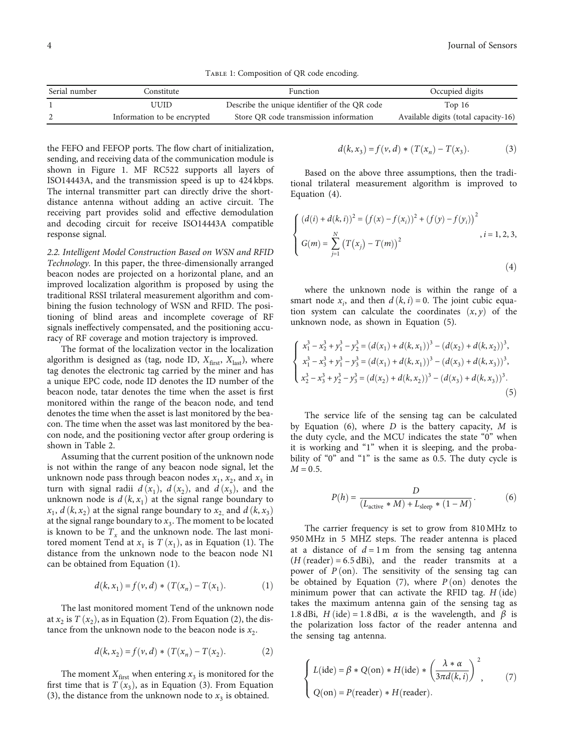TABLE 1: Composition of QR code encoding.

<span id="page-3-0"></span>

| Serial number | Constitute                  | Function                                      | Occupied digits                      |
|---------------|-----------------------------|-----------------------------------------------|--------------------------------------|
|               | JUID                        | Describe the unique identifier of the QR code | Top $16$                             |
|               | Information to be encrypted | Store QR code transmission information        | Available digits (total capacity-16) |

the FEFO and FEFOP ports. The flow chart of initialization, sending, and receiving data of the communication module is shown in Figure [1.](#page-4-0) MF RC522 supports all layers of ISO14443A, and the transmission speed is up to 424 kbps. The internal transmitter part can directly drive the shortdistance antenna without adding an active circuit. The receiving part provides solid and effective demodulation and decoding circuit for receive ISO14443A compatible response signal.

2.2. Intelligent Model Construction Based on WSN and RFID Technology. In this paper, the three-dimensionally arranged beacon nodes are projected on a horizontal plane, and an improved localization algorithm is proposed by using the traditional RSSI trilateral measurement algorithm and combining the fusion technology of WSN and RFID. The positioning of blind areas and incomplete coverage of RF signals ineffectively compensated, and the positioning accuracy of RF coverage and motion trajectory is improved.

The format of the localization vector in the localization algorithm is designed as (tag, node ID,  $X_{\text{first}}$ ,  $X_{\text{last}}$ ), where tag denotes the electronic tag carried by the miner and has a unique EPC code, node ID denotes the ID number of the beacon node, tatar denotes the time when the asset is first monitored within the range of the beacon node, and tend denotes the time when the asset is last monitored by the beacon. The time when the asset was last monitored by the beacon node, and the positioning vector after group ordering is shown in Table [2](#page-4-0).

Assuming that the current position of the unknown node is not within the range of any beacon node signal, let the unknown node pass through beacon nodes  $x_1$ ,  $x_2$ , and  $x_3$  in turn with signal radii  $d(x_1)$ ,  $d(x_2)$ , and  $d(x_3)$ , and the unknown node is  $d(k, x<sub>1</sub>)$  at the signal range boundary to  $x_1$ ,  $d(k, x_2)$  at the signal range boundary to  $x_2$  and  $d(k, x_3)$ at the signal range boundary to  $x_3$ . The moment to be located is known to be  $T_x$  and the unknown node. The last monitored moment Tend at  $x_1$  is  $T(x_1)$ , as in Equation (1). The distance from the unknown node to the beacon node N1 can be obtained from Equation (1).

$$
d(k, x_1) = f(v, d) * (T(x_n) - T(x_1). \tag{1}
$$

The last monitored moment Tend of the unknown node at  $x_2$  is  $T(x_2)$ , as in Equation (2). From Equation (2), the distance from the unknown node to the beacon node is  $x_2$ .

$$
d(k, x_2) = f(v, d) * (T(x_n) - T(x_2).
$$
 (2)

The moment  $X_{\text{first}}$  when entering  $x_3$  is monitored for the first time that is  $T(x_3)$ , as in Equation (3). From Equation (3), the distance from the unknown node to  $x_3$  is obtained.

$$
d(k, x_3) = f(v, d) * (T(x_n) - T(x_3).
$$
 (3)

Based on the above three assumptions, then the traditional trilateral measurement algorithm is improved to Equation (4).

$$
\begin{cases} (d(i) + d(k, i))^2 = (f(x) - f(x_i))^2 + (f(y) - f(y_i))^2 \\ G(m) = \sum_{j=1}^N (T(x_j) - T(m))^2, \quad i = 1, 2, 3, \end{cases}
$$
\n(4)

where the unknown node is within the range of a smart node  $x_i$ , and then  $d(k, i) = 0$ . The joint cubic equation system can calculate the coordinates  $(x, y)$  of the unknown node, as shown in Equation (5).

$$
\begin{cases}\nx_1^3 - x_2^3 + y_1^3 - y_2^3 = (d(x_1) + d(k, x_1))^3 - (d(x_2) + d(k, x_2))^3, \\
x_1^3 - x_3^3 + y_1^3 - y_3^3 = (d(x_1) + d(k, x_1))^3 - (d(x_3) + d(k, x_3))^3, \\
x_2^3 - x_3^3 + y_2^3 - y_3^3 = (d(x_2) + d(k, x_2))^3 - (d(x_3) + d(k, x_3))^3.\n\end{cases}
$$
\n(5)

The service life of the sensing tag can be calculated by Equation (6), where *D* is the battery capacity, *M* is the duty cycle, and the MCU indicates the state "0" when it is working and "1" when it is sleeping, and the probability of "0" and "1" is the same as 0.5. The duty cycle is  $M = 0.5$ .

$$
P(h) = \frac{D}{(L_{\text{active}} * M) + L_{\text{sleep}} * (1 - M)}.
$$
 (6)

The carrier frequency is set to grow from 810 MHz to 950 MHz in 5 MHZ steps. The reader antenna is placed at a distance of  $d = 1$ m from the sensing tag antenna  $(H$  (reader) = 6.5 dBi), and the reader transmits at a power of  $P(\text{on})$ . The sensitivity of the sensing tag can be obtained by Equation (7), where  $P(\text{on})$  denotes the minimum power that can activate the RFID tag.  $H$  (ide) takes the maximum antenna gain of the sensing tag as 1.8 dBi,  $H$  (ide) = 1.8 dBi,  $\alpha$  is the wavelength, and  $\beta$  is the polarization loss factor of the reader antenna and the sensing tag antenna.

$$
\begin{cases}\nL(\text{ide}) = \beta * Q(\text{on}) * H(\text{ide}) * \left(\frac{\lambda * \alpha}{3\pi d(k, i)}\right)^2, \\
Q(\text{on}) = P(\text{reader}) * H(\text{reader}).\n\end{cases} (7)
$$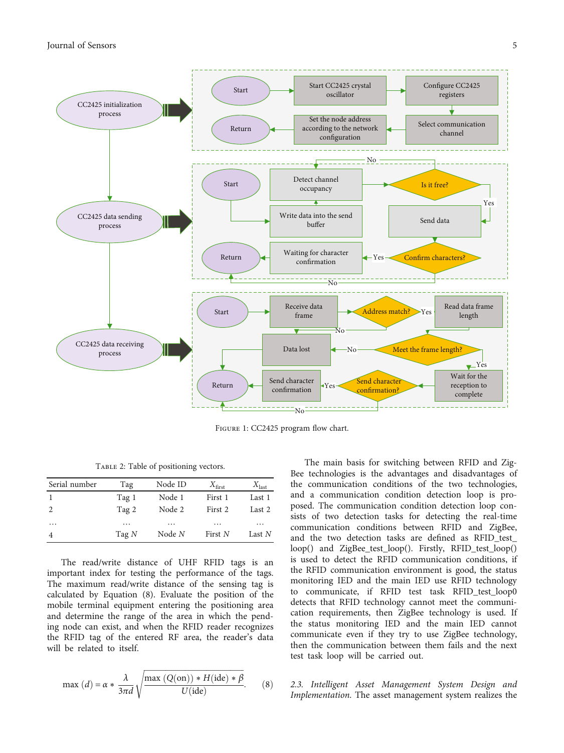<span id="page-4-0"></span>

Figure 1: CC2425 program flow chart.

Table 2: Table of positioning vectors.

| Serial number  | Tag      | Node ID | $X_{\text{first}}$ | $X_{\text{last}}$ |
|----------------|----------|---------|--------------------|-------------------|
|                | Tag 1    | Node 1  | First 1            | Last 1            |
| 2              | Tag 2    | Node 2  | First 2            | Last 2            |
| $\cdots$       | $\cdots$ | .       | .                  | .                 |
| $\overline{4}$ | Tag $N$  | Node N  | First N            | Last N            |

The read/write distance of UHF RFID tags is an important index for testing the performance of the tags. The maximum read/write distance of the sensing tag is calculated by Equation (8). Evaluate the position of the mobile terminal equipment entering the positioning area and determine the range of the area in which the pending node can exist, and when the RFID reader recognizes the RFID tag of the entered RF area, the reader's data will be related to itself.

$$
\max (d) = \alpha * \frac{\lambda}{3\pi d} \sqrt{\frac{\max (Q(\text{on})) * H(\text{ide}) * \beta}{U(\text{ide})}}.
$$
 (8)

The main basis for switching between RFID and Zig-Bee technologies is the advantages and disadvantages of the communication conditions of the two technologies, and a communication condition detection loop is proposed. The communication condition detection loop consists of two detection tasks for detecting the real-time communication conditions between RFID and ZigBee, and the two detection tasks are defined as RFID\_test\_ loop() and ZigBee\_test\_loop(). Firstly, RFID\_test\_loop() is used to detect the RFID communication conditions, if the RFID communication environment is good, the status monitoring IED and the main IED use RFID technology to communicate, if RFID test task RFID\_test\_loop0 detects that RFID technology cannot meet the communication requirements, then ZigBee technology is used. If the status monitoring IED and the main IED cannot communicate even if they try to use ZigBee technology, then the communication between them fails and the next test task loop will be carried out.

2.3. Intelligent Asset Management System Design and Implementation. The asset management system realizes the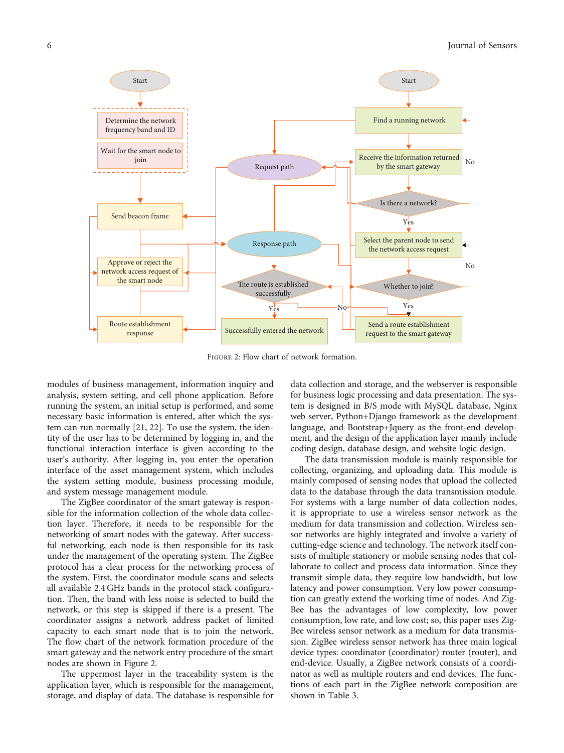

Figure 2: Flow chart of network formation.

modules of business management, information inquiry and analysis, system setting, and cell phone application. Before running the system, an initial setup is performed, and some necessary basic information is entered, after which the system can run normally [[21](#page-10-0), [22\]](#page-10-0). To use the system, the identity of the user has to be determined by logging in, and the functional interaction interface is given according to the user's authority. After logging in, you enter the operation interface of the asset management system, which includes the system setting module, business processing module, and system message management module.

The ZigBee coordinator of the smart gateway is responsible for the information collection of the whole data collection layer. Therefore, it needs to be responsible for the networking of smart nodes with the gateway. After successful networking, each node is then responsible for its task under the management of the operating system. The ZigBee protocol has a clear process for the networking process of the system. First, the coordinator module scans and selects all available 2.4 GHz bands in the protocol stack configuration. Then, the band with less noise is selected to build the network, or this step is skipped if there is a present. The coordinator assigns a network address packet of limited capacity to each smart node that is to join the network. The flow chart of the network formation procedure of the smart gateway and the network entry procedure of the smart nodes are shown in Figure 2.

The uppermost layer in the traceability system is the application layer, which is responsible for the management, storage, and display of data. The database is responsible for

data collection and storage, and the webserver is responsible for business logic processing and data presentation. The system is designed in B/S mode with MySQL database, Nginx web server, Python+Django framework as the development language, and Bootstrap+Jquery as the front-end development, and the design of the application layer mainly include coding design, database design, and website logic design.

The data transmission module is mainly responsible for collecting, organizing, and uploading data. This module is mainly composed of sensing nodes that upload the collected data to the database through the data transmission module. For systems with a large number of data collection nodes, it is appropriate to use a wireless sensor network as the medium for data transmission and collection. Wireless sensor networks are highly integrated and involve a variety of cutting-edge science and technology. The network itself consists of multiple stationery or mobile sensing nodes that collaborate to collect and process data information. Since they transmit simple data, they require low bandwidth, but low latency and power consumption. Very low power consumption can greatly extend the working time of nodes. And Zig-Bee has the advantages of low complexity, low power consumption, low rate, and low cost; so, this paper uses Zig-Bee wireless sensor network as a medium for data transmission. ZigBee wireless sensor network has three main logical device types: coordinator (coordinator) router (router), and end-device. Usually, a ZigBee network consists of a coordinator as well as multiple routers and end devices. The functions of each part in the ZigBee network composition are shown in Table [3](#page-6-0).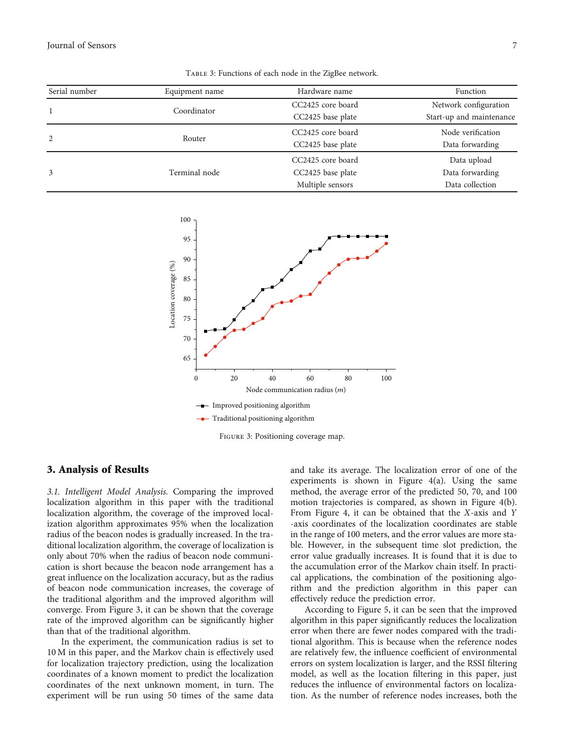<span id="page-6-0"></span>Journal of Sensors 7

| Serial number | Equipment name | Hardware name                                              | Function                                          |
|---------------|----------------|------------------------------------------------------------|---------------------------------------------------|
|               | Coordinator    | CC2425 core board<br>CC2425 base plate                     | Network configuration<br>Start-up and maintenance |
| 2             | Router         | CC2425 core board<br>CC2425 base plate                     | Node verification<br>Data forwarding              |
| 3             | Terminal node  | CC2425 core board<br>CC2425 base plate<br>Multiple sensors | Data upload<br>Data forwarding<br>Data collection |

Table 3: Functions of each node in the ZigBee network.



Figure 3: Positioning coverage map.

#### 3. Analysis of Results

3.1. Intelligent Model Analysis. Comparing the improved localization algorithm in this paper with the traditional localization algorithm, the coverage of the improved localization algorithm approximates 95% when the localization radius of the beacon nodes is gradually increased. In the traditional localization algorithm, the coverage of localization is only about 70% when the radius of beacon node communication is short because the beacon node arrangement has a great influence on the localization accuracy, but as the radius of beacon node communication increases, the coverage of the traditional algorithm and the improved algorithm will converge. From Figure 3, it can be shown that the coverage rate of the improved algorithm can be significantly higher than that of the traditional algorithm.

In the experiment, the communication radius is set to 10 M in this paper, and the Markov chain is effectively used for localization trajectory prediction, using the localization coordinates of a known moment to predict the localization coordinates of the next unknown moment, in turn. The experiment will be run using 50 times of the same data

and take its average. The localization error of one of the experiments is shown in Figure [4\(](#page-7-0)a). Using the same method, the average error of the predicted 50, 70, and 100 motion trajectories is compared, as shown in Figure [4\(](#page-7-0)b). From Figure [4,](#page-7-0) it can be obtained that the *X*-axis and *Y* -axis coordinates of the localization coordinates are stable in the range of 100 meters, and the error values are more stable. However, in the subsequent time slot prediction, the error value gradually increases. It is found that it is due to the accumulation error of the Markov chain itself. In practical applications, the combination of the positioning algorithm and the prediction algorithm in this paper can effectively reduce the prediction error.

According to Figure [5](#page-7-0), it can be seen that the improved algorithm in this paper significantly reduces the localization error when there are fewer nodes compared with the traditional algorithm. This is because when the reference nodes are relatively few, the influence coefficient of environmental errors on system localization is larger, and the RSSI filtering model, as well as the location filtering in this paper, just reduces the influence of environmental factors on localization. As the number of reference nodes increases, both the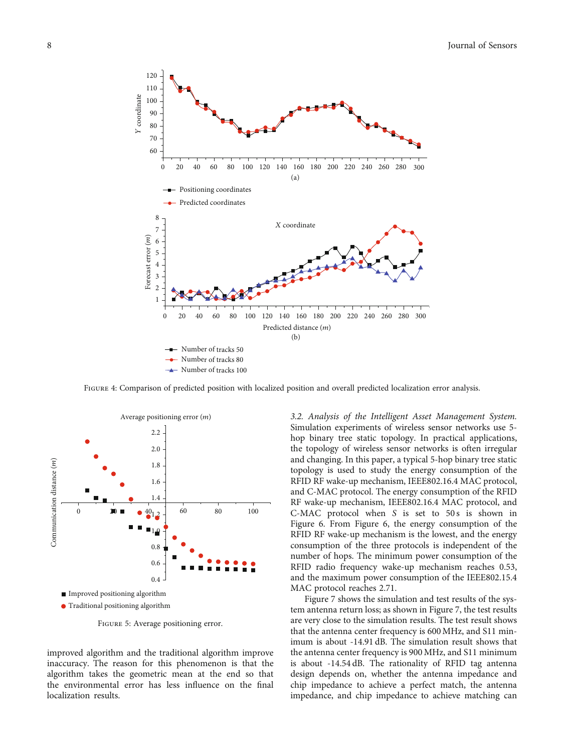<span id="page-7-0"></span>

FIGURE 4: Comparison of predicted position with localized position and overall predicted localization error analysis.



Figure 5: Average positioning error.

improved algorithm and the traditional algorithm improve inaccuracy. The reason for this phenomenon is that the algorithm takes the geometric mean at the end so that the environmental error has less influence on the final localization results.

3.2. Analysis of the Intelligent Asset Management System. Simulation experiments of wireless sensor networks use 5 hop binary tree static topology. In practical applications, the topology of wireless sensor networks is often irregular and changing. In this paper, a typical 5-hop binary tree static topology is used to study the energy consumption of the RFID RF wake-up mechanism, IEEE802.16.4 MAC protocol, and C-MAC protocol. The energy consumption of the RFID RF wake-up mechanism, IEEE802.16.4 MAC protocol, and C-MAC protocol when *S* is set to 50s is shown in Figure [6.](#page-8-0) From Figure [6](#page-8-0), the energy consumption of the RFID RF wake-up mechanism is the lowest, and the energy consumption of the three protocols is independent of the number of hops. The minimum power consumption of the RFID radio frequency wake-up mechanism reaches 0.53, and the maximum power consumption of the IEEE802.15.4 MAC protocol reaches 2.71.

Figure [7](#page-8-0) shows the simulation and test results of the system antenna return loss; as shown in Figure [7,](#page-8-0) the test results are very close to the simulation results. The test result shows that the antenna center frequency is 600 MHz, and S11 minimum is about -14.91 dB. The simulation result shows that the antenna center frequency is 900 MHz, and S11 minimum is about -14.54 dB. The rationality of RFID tag antenna design depends on, whether the antenna impedance and chip impedance to achieve a perfect match, the antenna impedance, and chip impedance to achieve matching can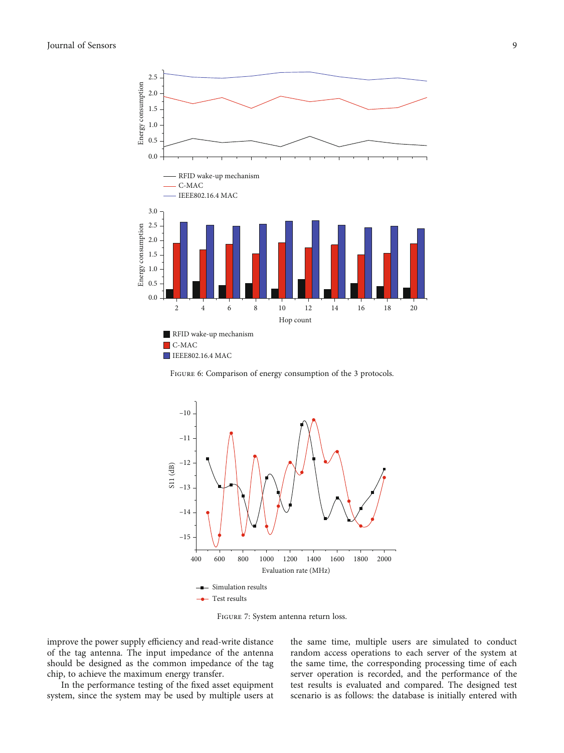<span id="page-8-0"></span>

FIGURE 6: Comparison of energy consumption of the 3 protocols.



Figure 7: System antenna return loss.

improve the power supply efficiency and read-write distance of the tag antenna. The input impedance of the antenna should be designed as the common impedance of the tag chip, to achieve the maximum energy transfer.

In the performance testing of the fixed asset equipment system, since the system may be used by multiple users at the same time, multiple users are simulated to conduct random access operations to each server of the system at the same time, the corresponding processing time of each server operation is recorded, and the performance of the test results is evaluated and compared. The designed test scenario is as follows: the database is initially entered with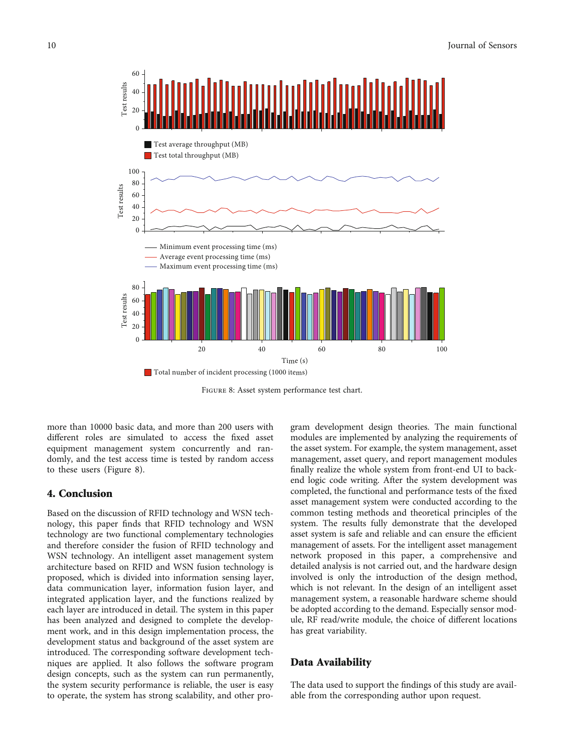

Figure 8: Asset system performance test chart.

more than 10000 basic data, and more than 200 users with different roles are simulated to access the fixed asset equipment management system concurrently and randomly, and the test access time is tested by random access to these users (Figure 8).

#### 4. Conclusion

Based on the discussion of RFID technology and WSN technology, this paper finds that RFID technology and WSN technology are two functional complementary technologies and therefore consider the fusion of RFID technology and WSN technology. An intelligent asset management system architecture based on RFID and WSN fusion technology is proposed, which is divided into information sensing layer, data communication layer, information fusion layer, and integrated application layer, and the functions realized by each layer are introduced in detail. The system in this paper has been analyzed and designed to complete the development work, and in this design implementation process, the development status and background of the asset system are introduced. The corresponding software development techniques are applied. It also follows the software program design concepts, such as the system can run permanently, the system security performance is reliable, the user is easy to operate, the system has strong scalability, and other pro-

gram development design theories. The main functional modules are implemented by analyzing the requirements of the asset system. For example, the system management, asset management, asset query, and report management modules finally realize the whole system from front-end UI to backend logic code writing. After the system development was completed, the functional and performance tests of the fixed asset management system were conducted according to the common testing methods and theoretical principles of the system. The results fully demonstrate that the developed asset system is safe and reliable and can ensure the efficient management of assets. For the intelligent asset management network proposed in this paper, a comprehensive and detailed analysis is not carried out, and the hardware design involved is only the introduction of the design method, which is not relevant. In the design of an intelligent asset management system, a reasonable hardware scheme should be adopted according to the demand. Especially sensor module, RF read/write module, the choice of different locations has great variability.

## Data Availability

The data used to support the findings of this study are available from the corresponding author upon request.